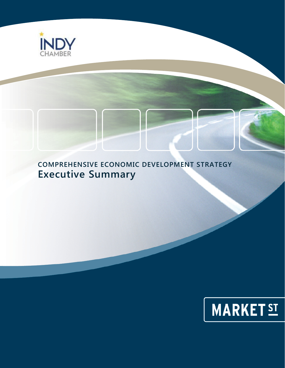

# **COMPREHENSIVE ECONOMIC DEVELOPMENT STRATEGY Executive Summary**

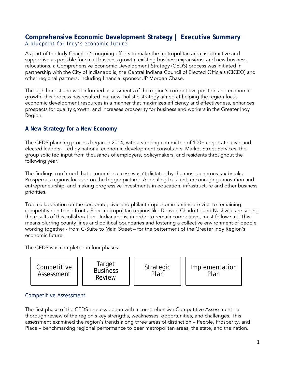# **Comprehensive Economic Development Strategy | Executive Summary** *A blueprint for Indy's economic future*

As part of the Indy Chamber's ongoing efforts to make the metropolitan area as attractive and supportive as possible for small business growth, existing business expansions, and new business relocations, a Comprehensive Economic Development Strategy (CEDS) process was initiated in partnership with the City of Indianapolis, the Central Indiana Council of Elected Officials (CICEO) and other regional partners, including financial sponsor JP Morgan Chase.

Through honest and well-informed assessments of the region's competitive position and economic growth, this process has resulted in a new, holistic strategy aimed at helping the region focus economic development resources in a manner that maximizes efficiency and effectiveness, enhances prospects for quality growth, and increases prosperity for business and workers in the Greater Indy Region.

# **A New Strategy for a New Economy**

The CEDS planning process began in 2014, with a steering committee of 100+ corporate, civic and elected leaders. Led by national economic development consultants, Market Street Services, the group solicited input from thousands of employers, policymakers, and residents throughout the following year.

The findings confirmed that economic success wasn't dictated by the most generous tax breaks. Prosperous regions focused on the bigger picture: Appealing to talent, encouraging innovation and entrepreneurship, and making progressive investments in education, infrastructure and other business priorities.

True collaboration on the corporate, civic and philanthropic communities are vital to remaining competitive on these fronts. Peer metropolitan regions like Denver, Charlotte and Nashville are seeing the results of this collaboration; Indianapolis, in order to remain competitive, must follow suit. This means blurring county lines and political boundaries and fostering a collective environment of people working together - from C-Suite to Main Street – for the betterment of the Greater Indy Region's economic future.

The CEDS was completed in four phases:



# Competitive Assessment

The first phase of the CEDS process began with a comprehensive Competitive Assessment - a thorough review of the region's key strengths, weaknesses, opportunities, and challenges. This assessment examined the region's trends along three areas of distinction – People, Prosperity, and Place – benchmarking regional performance to peer metropolitan areas, the state, and the nation.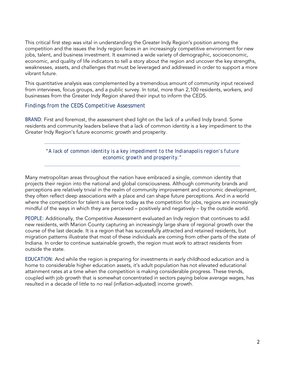This critical first step was vital in understanding the Greater Indy Region's position among the competition and the issues the Indy region faces in an increasingly competitive environment for new jobs, talent, and business investment. It examined a wide variety of demographic, socioeconomic, economic, and quality of life indicators to tell a story about the region and uncover the key strengths, weaknesses, assets, and challenges that must be leveraged and addressed in order to support a more vibrant future.

This quantitative analysis was complemented by a tremendous amount of community input received from interviews, focus groups, and a public survey. In total, more than 2,100 residents, workers, and businesses from the Greater Indy Region shared their input to inform the CEDS.

#### Findings from the CEDS Competitive Assessment

*BRAND:* First and foremost, the assessment shed light on the lack of a unified Indy brand. Some residents and community leaders believe that a lack of common identity is a key impediment to the Greater Indy Region's future economic growth and prosperity.

*"A lack of common identity is a key impediment to the Indianapolis region's future economic growth and prosperity."* 

Many metropolitan areas throughout the nation have embraced a single, common identity that projects their region into the national and global consciousness. Although community brands and perceptions are relatively trivial in the realm of community improvement and economic development, they often reflect deep associations with a place and can shape future perceptions. And in a world where the competition for talent is as fierce today as the competition for jobs, regions are increasingly mindful of the ways in which they are perceived – positively and negatively – by the outside world.

*PEOPLE:* Additionally, the Competitive Assessment evaluated an Indy region that continues to add new residents, with Marion County capturing an increasingly large share of regional growth over the course of the last decade. It is a region that has successfully attracted and retained residents, but migration patterns illustrate that most of these individuals are coming from other parts of the state of Indiana. In order to continue sustainable growth, the region must work to attract residents from outside the state.

*EDUCATION:* And while the region is preparing for investments in early childhood education and is home to considerable higher education assets, it's adult population has not elevated educational attainment rates at a time when the competition is making considerable progress. These trends, coupled with job growth that is somewhat concentrated in sectors paying below average wages, has resulted in a decade of little to no real (inflation-adjusted) income growth.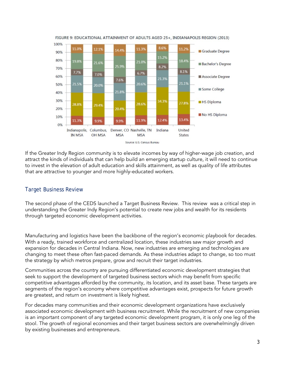

FIGURE 9: EDUCATIONAL ATTAINMENT OF ADULTS AGED 25+, INDIANAPOLIS REGION (2013)

If the Greater Indy Region community is to elevate incomes by way of higher-wage job creation, and attract the kinds of individuals that can help build an emerging startup culture, it will need to continue to invest in the elevation of adult education and skills attainment, as well as quality of life attributes that are attractive to younger and more highly-educated workers.

## Target Business Review

The second phase of the CEDS launched a Target Business Review. This review was a critical step in understanding the Greater Indy Region's potential to create new jobs and wealth for its residents through targeted economic development activities.

Manufacturing and logistics have been the backbone of the region's economic playbook for decades. With a ready, trained workforce and centralized location, these industries saw major growth and expansion for decades in Central Indiana. Now, new industries are emerging and technologies are changing to meet these often fast-paced demands. As these industries adapt to change, so too must the strategy by which metros prepare, grow and recruit their target industries.

Communities across the country are pursuing differentiated economic development strategies that seek to support the development of targeted business sectors which may benefit from specific competitive advantages afforded by the community, its location, and its asset base. These targets are segments of the region's economy where competitive advantages exist, prospects for future growth are greatest, and return on investment is likely highest.

For decades many communities and their economic development organizations have exclusively associated economic development with business recruitment. While the recruitment of new companies is an important component of any targeted economic development program, it is only one leg of the stool. The growth of regional economies and their target business sectors are overwhelmingly driven by existing businesses and entrepreneurs.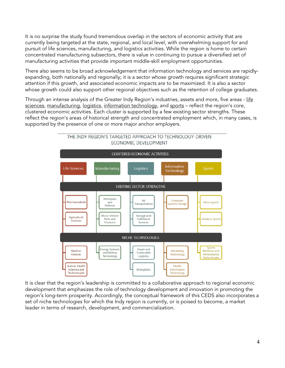It is no surprise the study found tremendous overlap in the sectors of economic activity that are currently being targeted at the state, regional, and local level, with overwhelming support for and pursuit of life sciences, manufacturing, and logistics activities. While the region is home to certain concentrated manufacturing subsectors, there is value in continuing to pursue a diversified set of manufacturing activities that provide important middle-skill employment opportunities.

There also seems to be broad acknowledgement that information technology and services are rapidlyexpanding, both nationally and regionally; it is a sector whose growth requires significant strategic attention if this growth, and associated economic impacts are to be maximized. It is also a sector whose growth could also support other regional objectives such as the retention of college graduates.

Through an intense analysis of the Greater Indy Region's industries, assets and more, five areas - life sciences, manufacturing, logistics, information technology, and sports - reflect the region's core, clustered economic activities. Each cluster is supported by a few existing sector strengths. These reflect the region's areas of historical strength and concentrated employment which, in many cases, is supported by the presence of one or more major anchor employers.



THE INDY REGION'S TARGETED APPROACH TO TECHNOLOGY-DRIVEN ECONOMIC DEVELOPMENT

It is clear that the region's leadership is committed to a collaborative approach to regional economic development that emphasizes the role of technology development and innovation in promoting the region's long-term prosperity. Accordingly, the conceptual framework of this CEDS also incorporates a set of niche technologies for which the Indy region is currently, or is poised to become, a market leader in terms of research, development, and commercialization.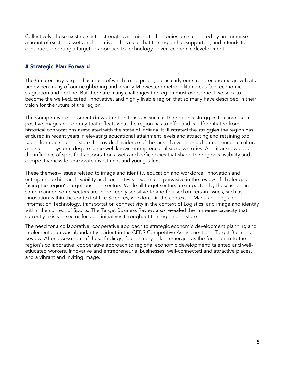Collectively, these existing sector strengths and niche technologies are supported by an immense amount of existing assets and initiatives. It is clear that the region has supported, and intends to continue supporting a targeted approach to technology-driven economic development.

# **A Strategic Plan Forward**

The Greater Indy Region has much of which to be proud, particularly our strong economic growth at a time when many of our neighboring and nearby Midwestern metropolitan areas face economic stagnation and decline. But there are many challenges the region must overcome if we seek to become the well-educated, innovative, and highly livable region that so many have described in their vision for the future of the region.

The Competitive Assessment drew attention to issues such as the region's struggles to carve out a positive image and identity that reflects what the region has to offer and is differentiated from historical connotations associated with the state of Indiana. It illustrated the struggles the region has endured in recent years in elevating educational attainment levels and attracting and retaining top talent from outside the state. It provided evidence of the lack of a widespread entrepreneurial culture and support system, despite some well-known entrepreneurial success stories. And it acknowledged the influence of specific transportation assets and deficiencies that shape the region's livability and competitiveness for corporate investment and young talent.

These themes – issues related to image and identity, education and workforce, innovation and entrepreneurship, and livability and connectivity – were also pervasive in the review of challenges facing the region's target business sectors. While all target sectors are impacted by these issues in some manner, some sectors are more keenly sensitive to and focused on certain issues, such as innovation within the context of Life Sciences, workforce in the context of Manufacturing and Information Technology, transportation connectivity in the context of Logistics, and image and identity within the context of Sports. The Target Business Review also revealed the immense capacity that currently exists in sector-focused initiatives throughout the region and state.

The need for a collaborative, cooperative approach to strategic economic development planning and implementation was abundantly evident in the CEDS Competitive Assessment and Target Business Review. After assessment of these findings, four primary pillars emerged as the foundation to the region's collaborative, cooperative approach to regional economic development: talented and welleducated workers, innovative and entrepreneurial businesses, well-connected and attractive places, and a vibrant and inviting image.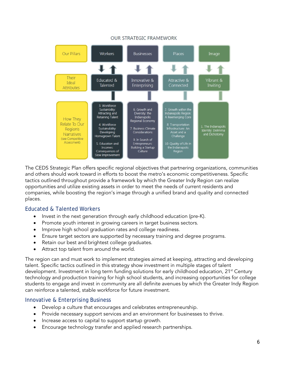

**OUR STRATEGIC FRAMEWORK** 

The CEDS Strategic Plan offers specific regional objectives that partnering organizations, communities and others should work toward in efforts to boost the metro's economic competitiveness. Specific tactics outlined throughout provide a framework by which the Greater Indy Region can realize opportunities and utilize existing assets in order to meet the needs of current residents and companies, while boosting the region's image through a unified brand and quality and connected places.

#### Educated & Talented Workers

- Invest in the next generation through early childhood education (pre-K).
- Promote youth interest in growing careers in target business sectors.
- Improve high school graduation rates and college readiness.
- Ensure target sectors are supported by necessary training and degree programs.
- Retain our best and brightest college graduates.
- Attract top talent from around the world.

The region can and must work to implement strategies aimed at keeping, attracting and developing talent. Specific tactics outlined in this strategy show investment in multiple stages of talent development. Investment in long term funding solutions for early childhood education, 21<sup>st</sup> Century technology and production training for high school students, and increasing opportunities for college students to engage and invest in community are all definite avenues by which the Greater Indy Region can reinforce a talented, stable workforce for future investment.

#### Innovative & Enterprising Business

- Develop a culture that encourages and celebrates entrepreneurship.
- Provide necessary support services and an environment for businesses to thrive.
- Increase access to capital to support startup growth.
- Encourage technology transfer and applied research partnerships.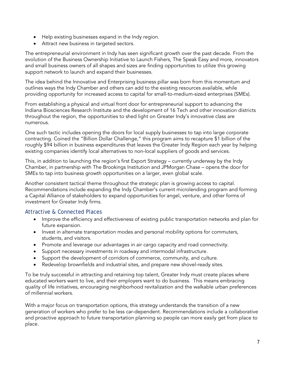- Help existing businesses expand in the Indy region.
- Attract new business in targeted sectors.

The entrepreneurial environment in Indy has seen significant growth over the past decade. From the evolution of the Business Ownership Initiative to Launch Fishers, The Speak Easy and more, innovators and small business owners of all shapes and sizes are finding opportunities to utilize this growing support network to launch and expand their businesses.

The idea behind the Innovative and Enterprising business pillar was born from this momentum and outlines ways the Indy Chamber and others can add to the existing resources available, while providing opportunity for increased access to capital for small-to-medium-sized enterprises (SMEs).

From establishing a physical and virtual front door for entrepreneurial support to advancing the Indiana Biosciences Research Institute and the development of 16 Tech and other innovation districts throughout the region, the opportunities to shed light on Greater Indy's innovative class are numerous.

One such tactic includes opening the doors for local supply businesses to tap into large corporate contracting. Coined the "Billion Dollar Challenge," this program aims to recapture \$1 billion of the roughly \$94 billion in business expenditures that leaves the Greater Indy Region each year by helping existing companies identify local alternatives to non-local suppliers of goods and services.

This, in addition to launching the region's first Export Strategy – currently underway by the Indy Chamber, in partnership with The Brookings Institution and JPMorgan Chase – opens the door for SMEs to tap into business growth opportunities on a larger, even global scale.

Another consistent tactical theme throughout the strategic plan is growing access to capital. Recommendations include expanding the Indy Chamber's current microlending program and forming a Capital Alliance of stakeholders to expand opportunities for angel, venture, and other forms of investment for Greater Indy firms.

# Attractive & Connected Places

- Improve the efficiency and effectiveness of existing public transportation networks and plan for future expansion.
- Invest in alternate transportation modes and personal mobility options for commuters, students, and visitors.
- Promote and leverage our advantages in air cargo capacity and road connectivity.
- Support necessary investments in roadway and intermodal infrastructure.
- Support the development of corridors of commerce, community, and culture.
- Redevelop brownfields and industrial sites, and prepare new shovel-ready sites.

To be truly successful in attracting and retaining top talent, Greater Indy must create places where educated workers want to live, and their employers want to do business. This means embracing quality of life initiatives, encouraging neighborhood revitalization and the walkable urban preferences of millennial workers.

With a major focus on transportation options, this strategy understands the transition of a new generation of workers who prefer to be less car-dependent. Recommendations include a collaborative and proactive approach to future transportation planning so people can more easily get from place to place.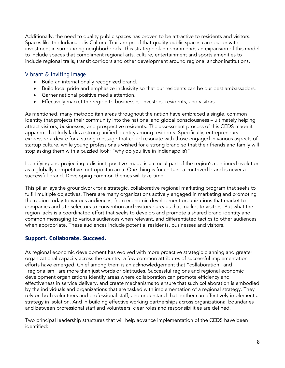Additionally, the need to quality public spaces has proven to be attractive to residents and visitors. Spaces like the Indianapolis Cultural Trail are proof that quality public spaces can spur private investment in surrounding neighborhoods. This strategic plan recommends an expansion of this model to include spaces that compliment regional arts, culture, entertainment and sports amenities to include regional trails, transit corridors and other development around regional anchor institutions.

## Vibrant & Inviting Image

- Build an internationally recognized brand.
- Build local pride and emphasize inclusivity so that our residents can be our best ambassadors.
- Garner national positive media attention.
- Effectively market the region to businesses, investors, residents, and visitors.

As mentioned, many metropolitan areas throughout the nation have embraced a single, common identity that projects their community into the national and global consciousness – ultimately helping attract visitors, businesses, and prospective residents. The assessment process of this CEDS made it apparent that Indy lacks a strong unified identity among residents. Specifically, entrepreneurs expressed a desire for a strong message that could resonate with those engaged in various aspects of startup culture, while young professionals wished for a strong brand so that their friends and family will stop asking them with a puzzled look: "why do you live in Indianapolis?"

Identifying and projecting a distinct, positive image is a crucial part of the region's continued evolution as a globally competitive metropolitan area. One thing is for certain: a contrived brand is never a successful brand. Developing common themes will take time.

This pillar lays the groundwork for a strategic, collaborative regional marketing program that seeks to fulfill multiple objectives. There are many organizations actively engaged in marketing and promoting the region today to various audiences, from economic development organizations that market to companies and site selectors to convention and visitors bureaus that market to visitors. But what the region lacks is a coordinated effort that seeks to develop and promote a shared brand identity and common messaging to various audiences when relevant, and differentiated tactics to other audiences when appropriate. These audiences include potential residents, businesses and visitors.

## **Support. Collaborate. Succeed.**

As regional economic development has evolved with more proactive strategic planning and greater organizational capacity across the country, a few common attributes of successful implementation efforts have emerged. Chief among them is an acknowledgement that "collaboration" and "regionalism" are more than just words or platitudes. Successful regions and regional economic development organizations identify areas where collaboration can promote efficiency and effectiveness in service delivery, and create mechanisms to ensure that such collaboration is embodied by the individuals and organizations that are tasked with implementation of a regional strategy. They rely on both volunteers and professional staff, and understand that neither can effectively implement a strategy in isolation. And in building effective working partnerships across organizational boundaries and between professional staff and volunteers, clear roles and responsibilities are defined.

Two principal leadership structures that will help advance implementation of the CEDS have been identified: